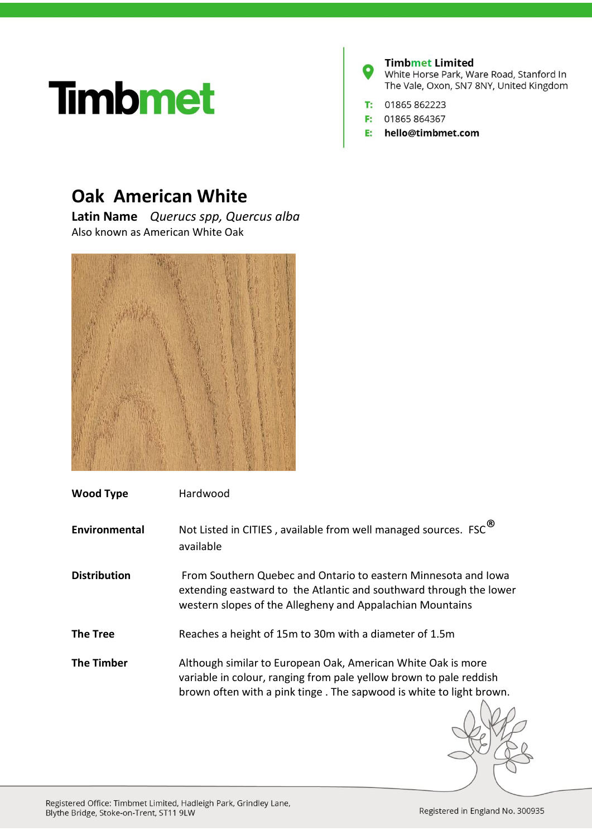## **Timbmet**



## **Oak American White**

**Latin Name** *Querucs spp, Quercus alba* Also known as American White Oak



| <b>Wood Type</b>    | Hardwood                                                                                                                                                                                                  |
|---------------------|-----------------------------------------------------------------------------------------------------------------------------------------------------------------------------------------------------------|
| Environmental       | Not Listed in CITIES, available from well managed sources. FSC <sup>®</sup><br>available                                                                                                                  |
| <b>Distribution</b> | From Southern Quebec and Ontario to eastern Minnesota and Iowa<br>extending eastward to the Atlantic and southward through the lower<br>western slopes of the Allegheny and Appalachian Mountains         |
| <b>The Tree</b>     | Reaches a height of 15m to 30m with a diameter of 1.5m                                                                                                                                                    |
| <b>The Timber</b>   | Although similar to European Oak, American White Oak is more<br>variable in colour, ranging from pale yellow brown to pale reddish<br>brown often with a pink tinge. The sapwood is white to light brown. |